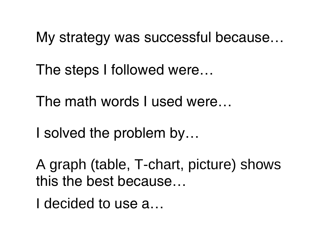My strategy was successful because…

The steps I followed were…

The math words I used were…

I solved the problem by…

A graph (table, T-chart, picture) shows this the best because…

I decided to use a…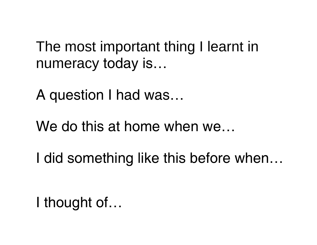The most important thing I learnt in numeracy today is…

A question I had was…

We do this at home when we…

I did something like this before when…

I thought of…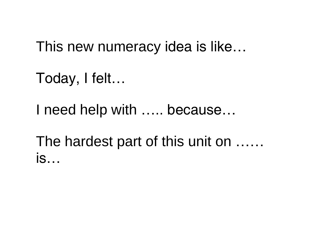This new numeracy idea is like…

Today, I felt…

I need help with ….. because…

The hardest part of this unit on …… is…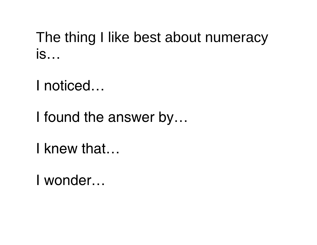The thing I like best about numeracy is…

I noticed…

I found the answer by…

I knew that…

I wonder…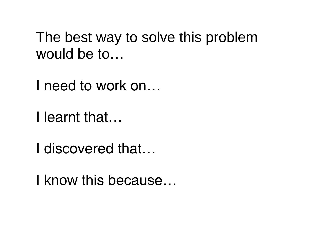The best way to solve this problem would be to…

I need to work on…

I learnt that…

I discovered that…

I know this because…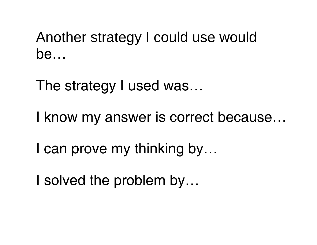Another strategy I could use would be…

The strategy I used was...

I know my answer is correct because…

I can prove my thinking by…

I solved the problem by…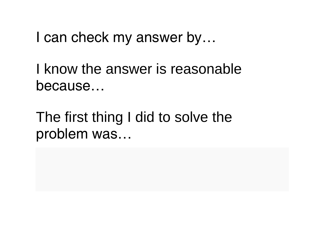I can check my answer by...

I know the answer is reasonable because…

The first thing I did to solve the problem was…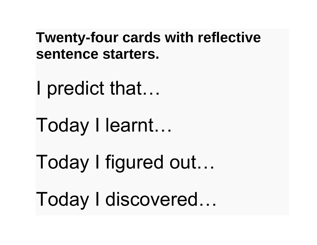**Twenty-four cards with reflective sentence starters.**

I predict that…

Today I learnt…

Today I figured out…

Today I discovered…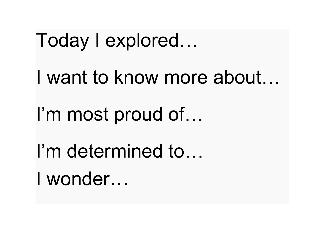Today I explored…

I want to know more about…

I'm most proud of...

I'm determined to… I wonder…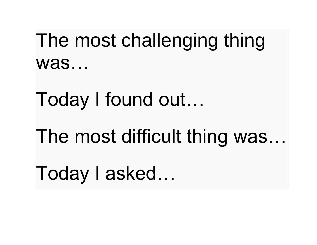The most challenging thing was…

Today I found out…

The most difficult thing was…

Today I asked…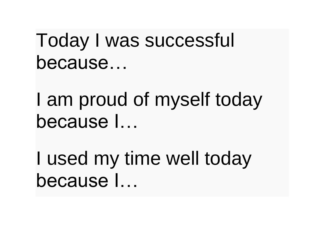Today I was successful because…

I am proud of myself today because I…

I used my time well today because I…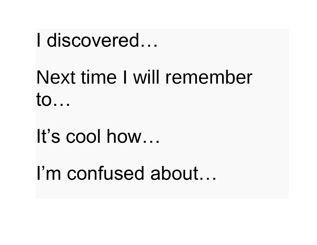#### I discovered…

# Next time I will remember to…

# It's cool how…

### I'm confused about…